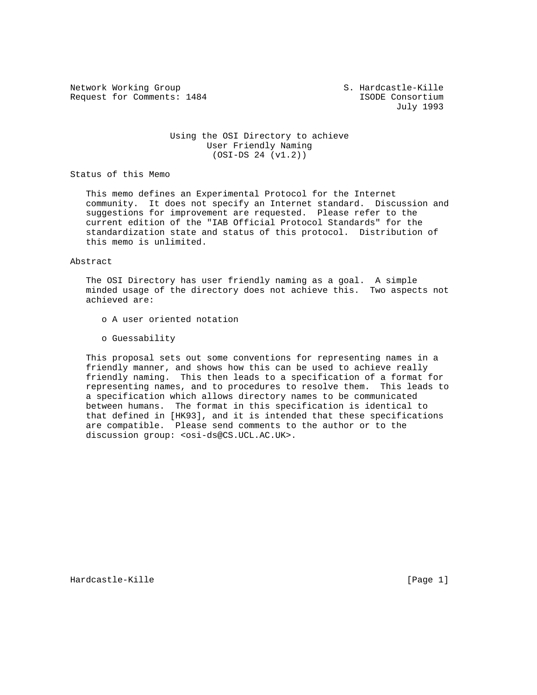Network Working Group S. Hardcastle-Kille Request for Comments: 1484 **ISODE** Consortium

July 1993

## Using the OSI Directory to achieve User Friendly Naming (OSI-DS 24 (v1.2))

Status of this Memo

 This memo defines an Experimental Protocol for the Internet community. It does not specify an Internet standard. Discussion and suggestions for improvement are requested. Please refer to the current edition of the "IAB Official Protocol Standards" for the standardization state and status of this protocol. Distribution of this memo is unlimited.

#### Abstract

 The OSI Directory has user friendly naming as a goal. A simple minded usage of the directory does not achieve this. Two aspects not achieved are:

- o A user oriented notation
- o Guessability

 This proposal sets out some conventions for representing names in a friendly manner, and shows how this can be used to achieve really friendly naming. This then leads to a specification of a format for representing names, and to procedures to resolve them. This leads to a specification which allows directory names to be communicated between humans. The format in this specification is identical to that defined in [HK93], and it is intended that these specifications are compatible. Please send comments to the author or to the discussion group: < osi-ds@CS.UCL.AC.UK>.

Hardcastle-Kille [Page 1]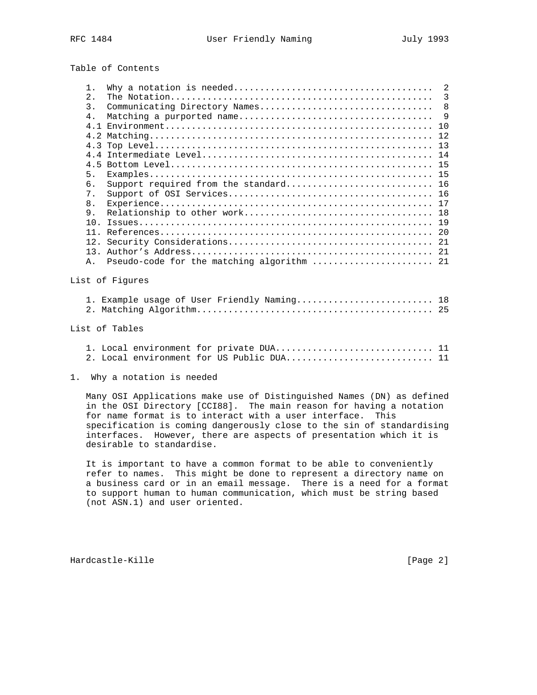Table of Contents

|                | 1.                                                                                                                                                                                                            | 2                                           |                |  |  |  |  |
|----------------|---------------------------------------------------------------------------------------------------------------------------------------------------------------------------------------------------------------|---------------------------------------------|----------------|--|--|--|--|
|                | 2.                                                                                                                                                                                                            |                                             | $\overline{3}$ |  |  |  |  |
|                | 3.                                                                                                                                                                                                            | 8<br>Communicating Directory Names          |                |  |  |  |  |
|                | $4$ .                                                                                                                                                                                                         | 9                                           |                |  |  |  |  |
|                |                                                                                                                                                                                                               | 10                                          |                |  |  |  |  |
|                |                                                                                                                                                                                                               | 12                                          |                |  |  |  |  |
|                | 4.3                                                                                                                                                                                                           |                                             |                |  |  |  |  |
|                |                                                                                                                                                                                                               |                                             |                |  |  |  |  |
|                |                                                                                                                                                                                                               |                                             |                |  |  |  |  |
|                | 5.                                                                                                                                                                                                            |                                             |                |  |  |  |  |
|                | 6.                                                                                                                                                                                                            | Support required from the standard 16       |                |  |  |  |  |
|                | 7.                                                                                                                                                                                                            |                                             |                |  |  |  |  |
|                | 8.                                                                                                                                                                                                            |                                             |                |  |  |  |  |
|                | 9.                                                                                                                                                                                                            |                                             |                |  |  |  |  |
|                |                                                                                                                                                                                                               |                                             |                |  |  |  |  |
|                |                                                                                                                                                                                                               |                                             |                |  |  |  |  |
|                |                                                                                                                                                                                                               |                                             |                |  |  |  |  |
|                |                                                                                                                                                                                                               |                                             |                |  |  |  |  |
|                | Α.                                                                                                                                                                                                            |                                             |                |  |  |  |  |
|                |                                                                                                                                                                                                               |                                             |                |  |  |  |  |
|                |                                                                                                                                                                                                               | List of Fiqures                             |                |  |  |  |  |
|                |                                                                                                                                                                                                               | 1. Example usage of User Friendly Naming 18 |                |  |  |  |  |
|                |                                                                                                                                                                                                               |                                             |                |  |  |  |  |
|                |                                                                                                                                                                                                               |                                             |                |  |  |  |  |
| List of Tables |                                                                                                                                                                                                               |                                             |                |  |  |  |  |
|                |                                                                                                                                                                                                               | 1. Local environment for private DUA 11     |                |  |  |  |  |
|                |                                                                                                                                                                                                               | 2. Local environment for US Public DUA 11   |                |  |  |  |  |
| 1.             |                                                                                                                                                                                                               | Why a notation is needed                    |                |  |  |  |  |
|                |                                                                                                                                                                                                               |                                             |                |  |  |  |  |
|                | Many OSI Applications make use of Distinguished Names (DN) as defined<br>in the OSI Directory [CCI88]. The main reason for having a notation<br>for name format is to interact with a user interface.<br>This |                                             |                |  |  |  |  |
|                | in 1968 and a complete the complete state of the complete state of the complete state of the complete state of                                                                                                |                                             |                |  |  |  |  |

 specification is coming dangerously close to the sin of standardising interfaces. However, there are aspects of presentation which it is desirable to standardise.

 It is important to have a common format to be able to conveniently refer to names. This might be done to represent a directory name on a business card or in an email message. There is a need for a format to support human to human communication, which must be string based (not ASN.1) and user oriented.

Hardcastle-Kille [Page 2]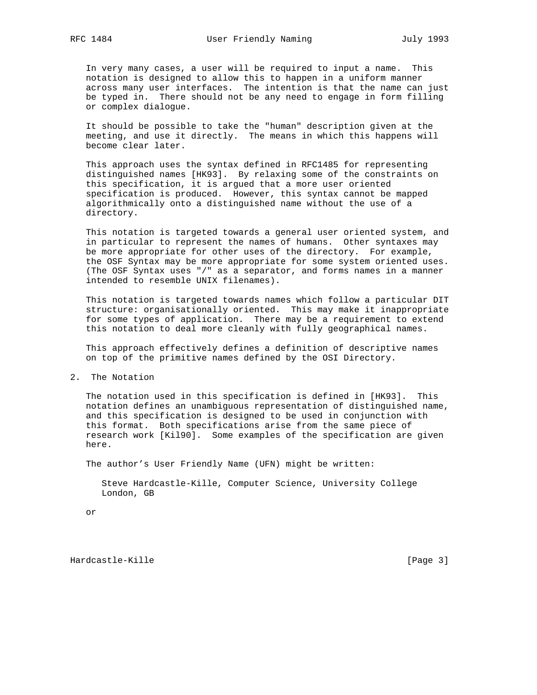In very many cases, a user will be required to input a name. This notation is designed to allow this to happen in a uniform manner across many user interfaces. The intention is that the name can just be typed in. There should not be any need to engage in form filling or complex dialogue.

 It should be possible to take the "human" description given at the meeting, and use it directly. The means in which this happens will become clear later.

 This approach uses the syntax defined in RFC1485 for representing distinguished names [HK93]. By relaxing some of the constraints on this specification, it is argued that a more user oriented specification is produced. However, this syntax cannot be mapped algorithmically onto a distinguished name without the use of a directory.

 This notation is targeted towards a general user oriented system, and in particular to represent the names of humans. Other syntaxes may be more appropriate for other uses of the directory. For example, the OSF Syntax may be more appropriate for some system oriented uses. (The OSF Syntax uses "/" as a separator, and forms names in a manner intended to resemble UNIX filenames).

 This notation is targeted towards names which follow a particular DIT structure: organisationally oriented. This may make it inappropriate for some types of application. There may be a requirement to extend this notation to deal more cleanly with fully geographical names.

 This approach effectively defines a definition of descriptive names on top of the primitive names defined by the OSI Directory.

2. The Notation

 The notation used in this specification is defined in [HK93]. This notation defines an unambiguous representation of distinguished name, and this specification is designed to be used in conjunction with this format. Both specifications arise from the same piece of research work [Kil90]. Some examples of the specification are given here.

The author's User Friendly Name (UFN) might be written:

 Steve Hardcastle-Kille, Computer Science, University College London, GB

or

Hardcastle-Kille [Page 3]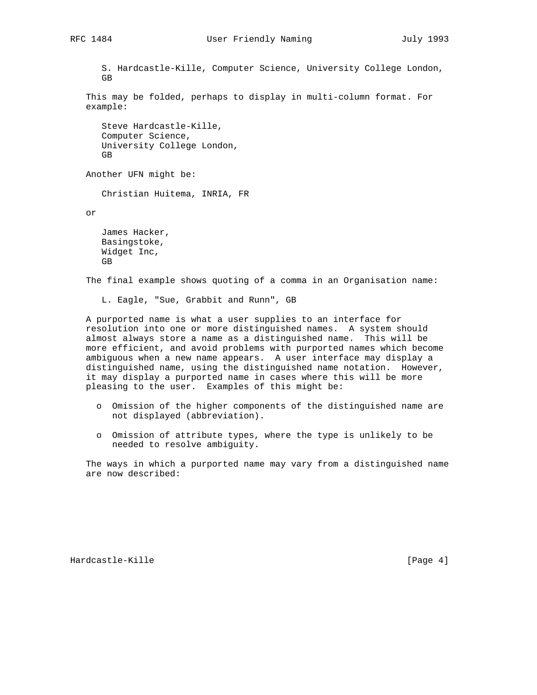S. Hardcastle-Kille, Computer Science, University College London, GB

 This may be folded, perhaps to display in multi-column format. For example:

 Steve Hardcastle-Kille, Computer Science, University College London, GB

Another UFN might be:

Christian Huitema, INRIA, FR

or

 James Hacker, Basingstoke, Widget Inc, GB

The final example shows quoting of a comma in an Organisation name:

L. Eagle, "Sue, Grabbit and Runn", GB

 A purported name is what a user supplies to an interface for resolution into one or more distinguished names. A system should almost always store a name as a distinguished name. This will be more efficient, and avoid problems with purported names which become ambiguous when a new name appears. A user interface may display a distinguished name, using the distinguished name notation. However, it may display a purported name in cases where this will be more pleasing to the user. Examples of this might be:

- o Omission of the higher components of the distinguished name are not displayed (abbreviation).
- o Omission of attribute types, where the type is unlikely to be needed to resolve ambiguity.

 The ways in which a purported name may vary from a distinguished name are now described:

Hardcastle-Kille [Page 4]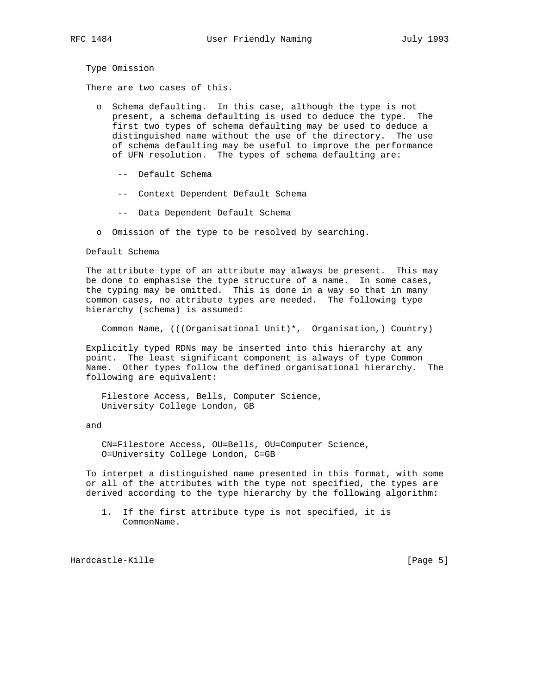Type Omission

There are two cases of this.

- o Schema defaulting. In this case, although the type is not present, a schema defaulting is used to deduce the type. The first two types of schema defaulting may be used to deduce a distinguished name without the use of the directory. The use of schema defaulting may be useful to improve the performance of UFN resolution. The types of schema defaulting are:
	- -- Default Schema
	- -- Context Dependent Default Schema
	- -- Data Dependent Default Schema
- o Omission of the type to be resolved by searching.

Default Schema

 The attribute type of an attribute may always be present. This may be done to emphasise the type structure of a name. In some cases, the typing may be omitted. This is done in a way so that in many common cases, no attribute types are needed. The following type hierarchy (schema) is assumed:

Common Name, (((Organisational Unit)\*, Organisation,) Country)

 Explicitly typed RDNs may be inserted into this hierarchy at any point. The least significant component is always of type Common Name. Other types follow the defined organisational hierarchy. The following are equivalent:

 Filestore Access, Bells, Computer Science, University College London, GB

and

 CN=Filestore Access, OU=Bells, OU=Computer Science, O=University College London, C=GB

 To interpet a distinguished name presented in this format, with some or all of the attributes with the type not specified, the types are derived according to the type hierarchy by the following algorithm:

 1. If the first attribute type is not specified, it is CommonName.

Hardcastle-Kille [Page 5]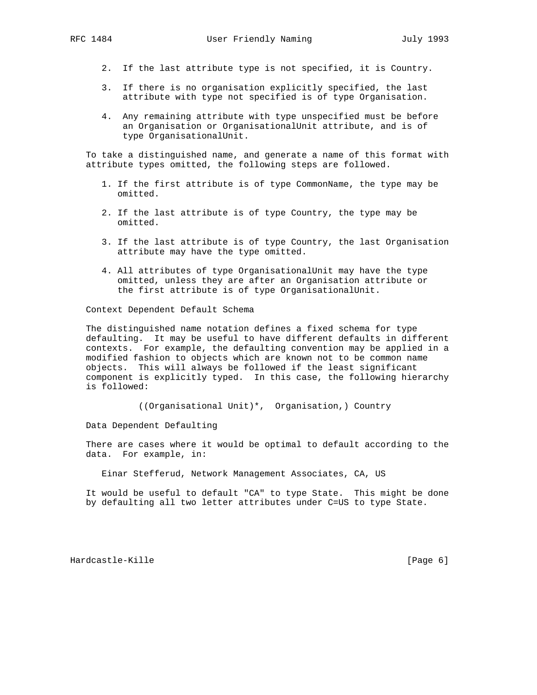- 2. If the last attribute type is not specified, it is Country.
- 3. If there is no organisation explicitly specified, the last attribute with type not specified is of type Organisation.
- 4. Any remaining attribute with type unspecified must be before an Organisation or OrganisationalUnit attribute, and is of type OrganisationalUnit.

 To take a distinguished name, and generate a name of this format with attribute types omitted, the following steps are followed.

- 1. If the first attribute is of type CommonName, the type may be omitted.
- 2. If the last attribute is of type Country, the type may be omitted.
- 3. If the last attribute is of type Country, the last Organisation attribute may have the type omitted.
- 4. All attributes of type OrganisationalUnit may have the type omitted, unless they are after an Organisation attribute or the first attribute is of type OrganisationalUnit.

Context Dependent Default Schema

 The distinguished name notation defines a fixed schema for type defaulting. It may be useful to have different defaults in different contexts. For example, the defaulting convention may be applied in a modified fashion to objects which are known not to be common name objects. This will always be followed if the least significant component is explicitly typed. In this case, the following hierarchy is followed:

((Organisational Unit)\*, Organisation,) Country

Data Dependent Defaulting

 There are cases where it would be optimal to default according to the data. For example, in:

Einar Stefferud, Network Management Associates, CA, US

 It would be useful to default "CA" to type State. This might be done by defaulting all two letter attributes under C=US to type State.

Hardcastle-Kille [Page 6]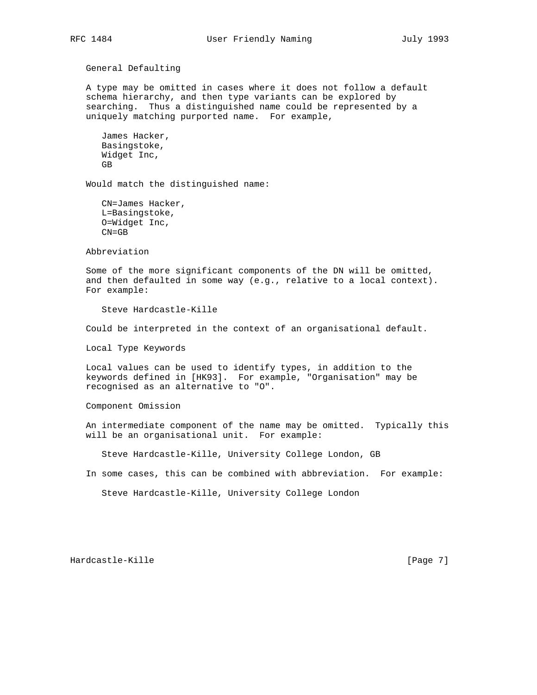General Defaulting

 A type may be omitted in cases where it does not follow a default schema hierarchy, and then type variants can be explored by searching. Thus a distinguished name could be represented by a uniquely matching purported name. For example,

```
 James Hacker,
 Basingstoke,
 Widget Inc,
 GB
```
Would match the distinguished name:

 CN=James Hacker, L=Basingstoke, O=Widget Inc, CN=GB

Abbreviation

 Some of the more significant components of the DN will be omitted, and then defaulted in some way (e.g., relative to a local context). For example:

Steve Hardcastle-Kille

Could be interpreted in the context of an organisational default.

Local Type Keywords

 Local values can be used to identify types, in addition to the keywords defined in [HK93]. For example, "Organisation" may be recognised as an alternative to "O".

Component Omission

 An intermediate component of the name may be omitted. Typically this will be an organisational unit. For example:

Steve Hardcastle-Kille, University College London, GB

In some cases, this can be combined with abbreviation. For example:

Steve Hardcastle-Kille, University College London

Hardcastle-Kille [Page 7]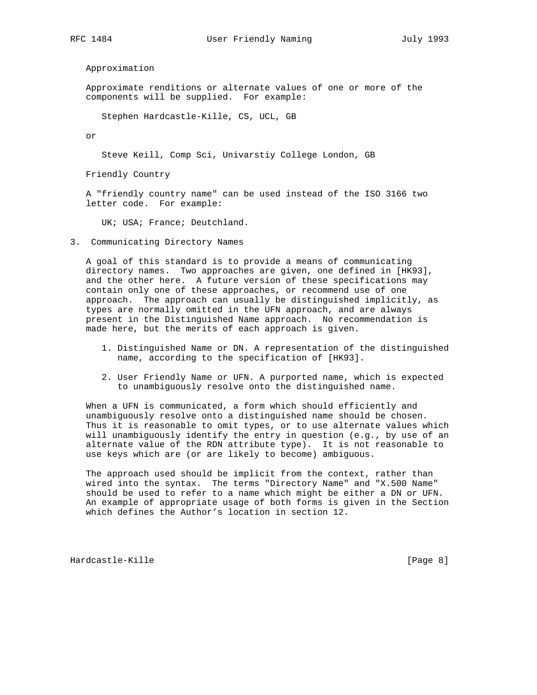Approximation

 Approximate renditions or alternate values of one or more of the components will be supplied. For example:

Stephen Hardcastle-Kille, CS, UCL, GB

or

Steve Keill, Comp Sci, Univarstiy College London, GB

Friendly Country

 A "friendly country name" can be used instead of the ISO 3166 two letter code. For example:

UK; USA; France; Deutchland.

3. Communicating Directory Names

 A goal of this standard is to provide a means of communicating directory names. Two approaches are given, one defined in [HK93], and the other here. A future version of these specifications may contain only one of these approaches, or recommend use of one approach. The approach can usually be distinguished implicitly, as types are normally omitted in the UFN approach, and are always present in the Distinguished Name approach. No recommendation is made here, but the merits of each approach is given.

- 1. Distinguished Name or DN. A representation of the distinguished name, according to the specification of [HK93].
- 2. User Friendly Name or UFN. A purported name, which is expected to unambiguously resolve onto the distinguished name.

 When a UFN is communicated, a form which should efficiently and unambiguously resolve onto a distinguished name should be chosen. Thus it is reasonable to omit types, or to use alternate values which will unambiguously identify the entry in question (e.g., by use of an alternate value of the RDN attribute type). It is not reasonable to use keys which are (or are likely to become) ambiguous.

 The approach used should be implicit from the context, rather than wired into the syntax. The terms "Directory Name" and "X.500 Name" should be used to refer to a name which might be either a DN or UFN. An example of appropriate usage of both forms is given in the Section which defines the Author's location in section 12.

Hardcastle-Kille [Page 8]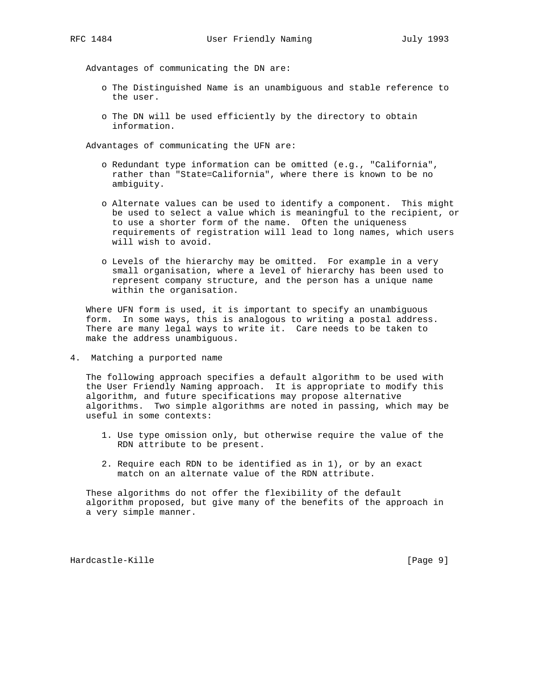Advantages of communicating the DN are:

- o The Distinguished Name is an unambiguous and stable reference to the user.
- o The DN will be used efficiently by the directory to obtain information.

Advantages of communicating the UFN are:

- o Redundant type information can be omitted (e.g., "California", rather than "State=California", where there is known to be no ambiguity.
- o Alternate values can be used to identify a component. This might be used to select a value which is meaningful to the recipient, or to use a shorter form of the name. Often the uniqueness requirements of registration will lead to long names, which users will wish to avoid.
- o Levels of the hierarchy may be omitted. For example in a very small organisation, where a level of hierarchy has been used to represent company structure, and the person has a unique name within the organisation.

 Where UFN form is used, it is important to specify an unambiguous form. In some ways, this is analogous to writing a postal address. There are many legal ways to write it. Care needs to be taken to make the address unambiguous.

4. Matching a purported name

 The following approach specifies a default algorithm to be used with the User Friendly Naming approach. It is appropriate to modify this algorithm, and future specifications may propose alternative algorithms. Two simple algorithms are noted in passing, which may be useful in some contexts:

- 1. Use type omission only, but otherwise require the value of the RDN attribute to be present.
- 2. Require each RDN to be identified as in 1), or by an exact match on an alternate value of the RDN attribute.

 These algorithms do not offer the flexibility of the default algorithm proposed, but give many of the benefits of the approach in a very simple manner.

Hardcastle-Kille **Exercise Exercise Exercise Exercise** (Page 9)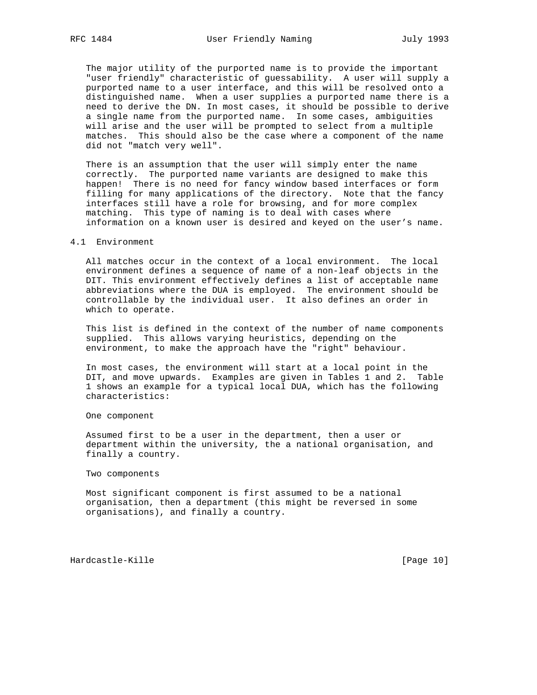The major utility of the purported name is to provide the important "user friendly" characteristic of guessability. A user will supply a purported name to a user interface, and this will be resolved onto a distinguished name. When a user supplies a purported name there is a need to derive the DN. In most cases, it should be possible to derive a single name from the purported name. In some cases, ambiguities will arise and the user will be prompted to select from a multiple matches. This should also be the case where a component of the name did not "match very well".

 There is an assumption that the user will simply enter the name correctly. The purported name variants are designed to make this happen! There is no need for fancy window based interfaces or form filling for many applications of the directory. Note that the fancy interfaces still have a role for browsing, and for more complex matching. This type of naming is to deal with cases where information on a known user is desired and keyed on the user's name.

### 4.1 Environment

 All matches occur in the context of a local environment. The local environment defines a sequence of name of a non-leaf objects in the DIT. This environment effectively defines a list of acceptable name abbreviations where the DUA is employed. The environment should be controllable by the individual user. It also defines an order in which to operate.

 This list is defined in the context of the number of name components supplied. This allows varying heuristics, depending on the environment, to make the approach have the "right" behaviour.

 In most cases, the environment will start at a local point in the DIT, and move upwards. Examples are given in Tables 1 and 2. Table 1 shows an example for a typical local DUA, which has the following characteristics:

One component

 Assumed first to be a user in the department, then a user or department within the university, the a national organisation, and finally a country.

Two components

 Most significant component is first assumed to be a national organisation, then a department (this might be reversed in some organisations), and finally a country.

Hardcastle-Kille [Page 10]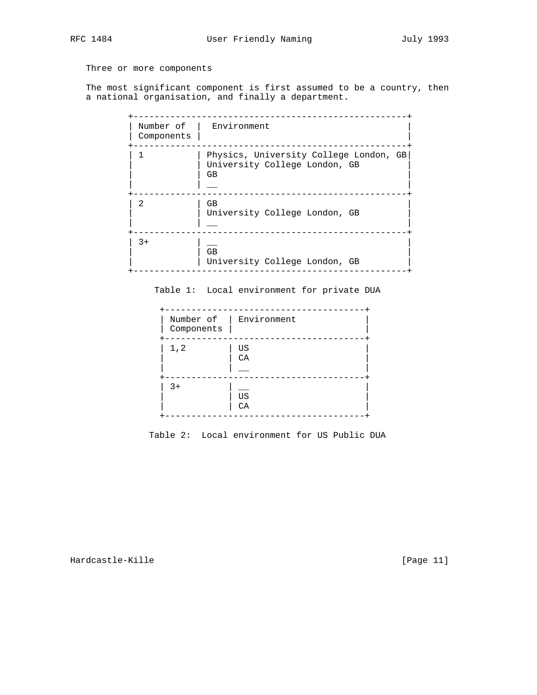# Three or more components

 The most significant component is first assumed to be a country, then a national organisation, and finally a department.

| Components | Number of   Environment                                                       |
|------------|-------------------------------------------------------------------------------|
|            | Physics, University College London, GB<br>University College London, GB<br>GB |
| 2          | GB<br>University College London, GB                                           |
| $3+$       | <b>GB</b><br>University College London, GB                                    |

Table 1: Local environment for private DUA

| Components | Number of   Environment |
|------------|-------------------------|
| 1, 2       | US<br>CA                |
| $3+$       | US<br>CA                |

Table 2: Local environment for US Public DUA

Hardcastle-Kille [Page 11]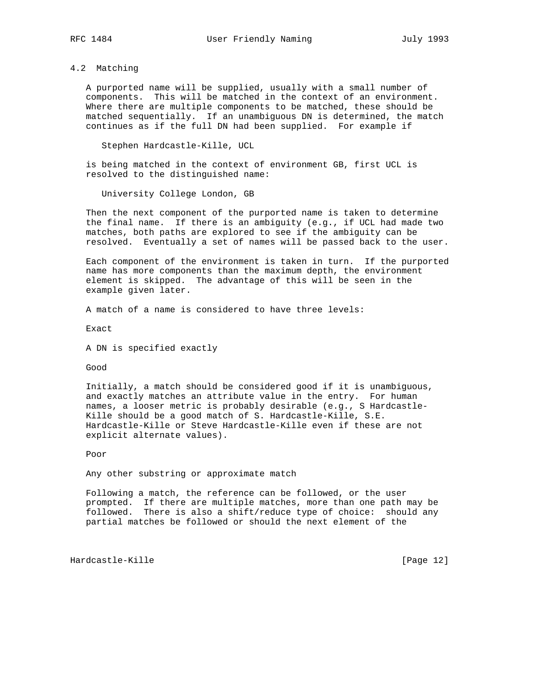# 4.2 Matching

 A purported name will be supplied, usually with a small number of components. This will be matched in the context of an environment. Where there are multiple components to be matched, these should be matched sequentially. If an unambiguous DN is determined, the match continues as if the full DN had been supplied. For example if

Stephen Hardcastle-Kille, UCL

 is being matched in the context of environment GB, first UCL is resolved to the distinguished name:

University College London, GB

 Then the next component of the purported name is taken to determine the final name. If there is an ambiguity (e.g., if UCL had made two matches, both paths are explored to see if the ambiguity can be resolved. Eventually a set of names will be passed back to the user.

 Each component of the environment is taken in turn. If the purported name has more components than the maximum depth, the environment element is skipped. The advantage of this will be seen in the example given later.

A match of a name is considered to have three levels:

Exact

A DN is specified exactly

Good

 Initially, a match should be considered good if it is unambiguous, and exactly matches an attribute value in the entry. For human names, a looser metric is probably desirable (e.g., S Hardcastle- Kille should be a good match of S. Hardcastle-Kille, S.E. Hardcastle-Kille or Steve Hardcastle-Kille even if these are not explicit alternate values).

Poor

Any other substring or approximate match

 Following a match, the reference can be followed, or the user prompted. If there are multiple matches, more than one path may be followed. There is also a shift/reduce type of choice: should any partial matches be followed or should the next element of the

Hardcastle-Kille [Page 12]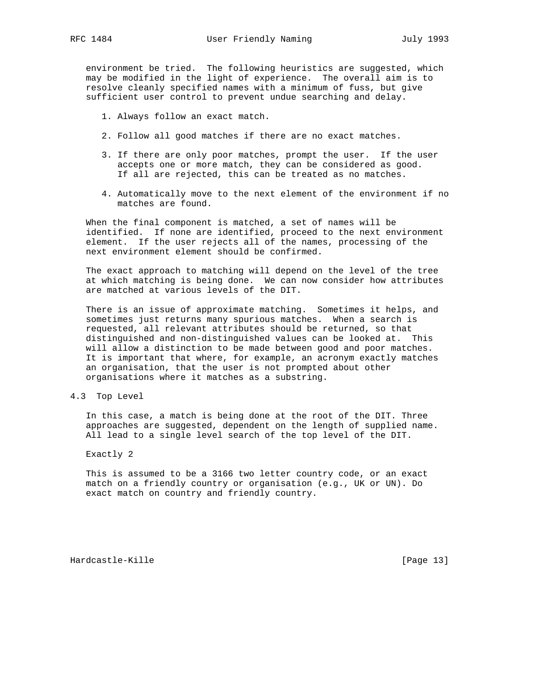environment be tried. The following heuristics are suggested, which may be modified in the light of experience. The overall aim is to resolve cleanly specified names with a minimum of fuss, but give sufficient user control to prevent undue searching and delay.

- 1. Always follow an exact match.
- 2. Follow all good matches if there are no exact matches.
- 3. If there are only poor matches, prompt the user. If the user accepts one or more match, they can be considered as good. If all are rejected, this can be treated as no matches.
- 4. Automatically move to the next element of the environment if no matches are found.

 When the final component is matched, a set of names will be identified. If none are identified, proceed to the next environment element. If the user rejects all of the names, processing of the next environment element should be confirmed.

 The exact approach to matching will depend on the level of the tree at which matching is being done. We can now consider how attributes are matched at various levels of the DIT.

 There is an issue of approximate matching. Sometimes it helps, and sometimes just returns many spurious matches. When a search is requested, all relevant attributes should be returned, so that distinguished and non-distinguished values can be looked at. This will allow a distinction to be made between good and poor matches. It is important that where, for example, an acronym exactly matches an organisation, that the user is not prompted about other organisations where it matches as a substring.

4.3 Top Level

 In this case, a match is being done at the root of the DIT. Three approaches are suggested, dependent on the length of supplied name. All lead to a single level search of the top level of the DIT.

Exactly 2

 This is assumed to be a 3166 two letter country code, or an exact match on a friendly country or organisation (e.g., UK or UN). Do exact match on country and friendly country.

Hardcastle-Kille [Page 13]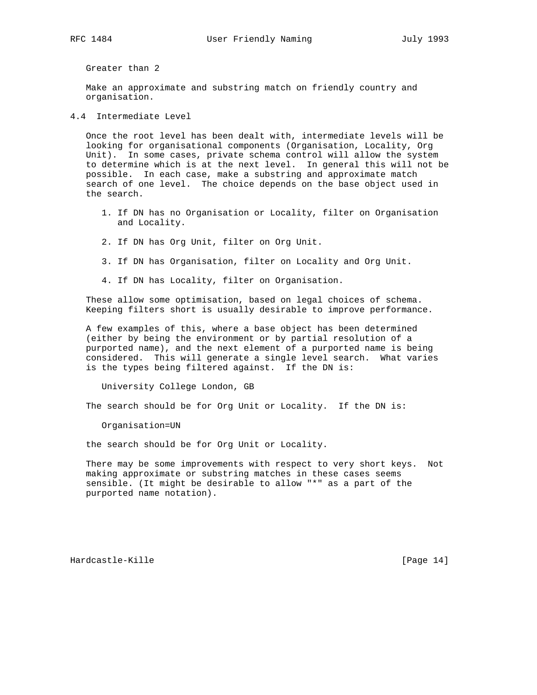Greater than 2

 Make an approximate and substring match on friendly country and organisation.

4.4 Intermediate Level

 Once the root level has been dealt with, intermediate levels will be looking for organisational components (Organisation, Locality, Org Unit). In some cases, private schema control will allow the system to determine which is at the next level. In general this will not be possible. In each case, make a substring and approximate match search of one level. The choice depends on the base object used in the search.

- 1. If DN has no Organisation or Locality, filter on Organisation and Locality.
- 2. If DN has Org Unit, filter on Org Unit.
- 3. If DN has Organisation, filter on Locality and Org Unit.
- 4. If DN has Locality, filter on Organisation.

 These allow some optimisation, based on legal choices of schema. Keeping filters short is usually desirable to improve performance.

 A few examples of this, where a base object has been determined (either by being the environment or by partial resolution of a purported name), and the next element of a purported name is being considered. This will generate a single level search. What varies is the types being filtered against. If the DN is:

University College London, GB

The search should be for Org Unit or Locality. If the DN is:

Organisation=UN

the search should be for Org Unit or Locality.

 There may be some improvements with respect to very short keys. Not making approximate or substring matches in these cases seems sensible. (It might be desirable to allow "\*" as a part of the purported name notation).

Hardcastle-Kille [Page 14]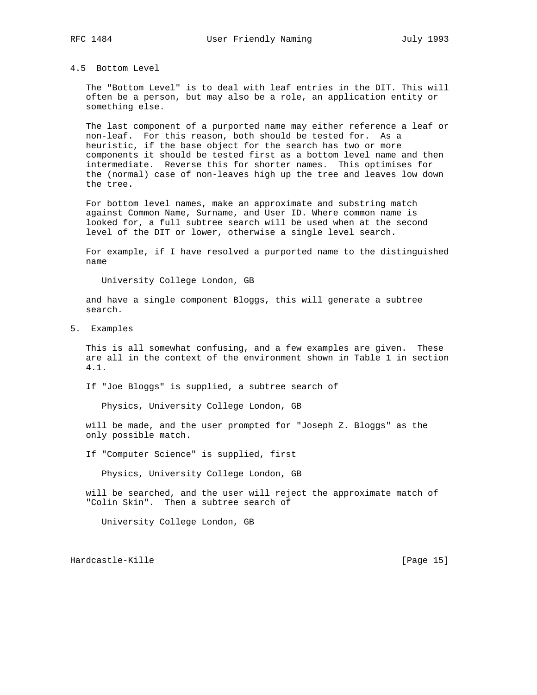## 4.5 Bottom Level

 The "Bottom Level" is to deal with leaf entries in the DIT. This will often be a person, but may also be a role, an application entity or something else.

 The last component of a purported name may either reference a leaf or non-leaf. For this reason, both should be tested for. As a heuristic, if the base object for the search has two or more components it should be tested first as a bottom level name and then intermediate. Reverse this for shorter names. This optimises for the (normal) case of non-leaves high up the tree and leaves low down the tree.

 For bottom level names, make an approximate and substring match against Common Name, Surname, and User ID. Where common name is looked for, a full subtree search will be used when at the second level of the DIT or lower, otherwise a single level search.

 For example, if I have resolved a purported name to the distinguished name

University College London, GB

 and have a single component Bloggs, this will generate a subtree search.

5. Examples

 This is all somewhat confusing, and a few examples are given. These are all in the context of the environment shown in Table 1 in section 4.1.

If "Joe Bloggs" is supplied, a subtree search of

Physics, University College London, GB

 will be made, and the user prompted for "Joseph Z. Bloggs" as the only possible match.

If "Computer Science" is supplied, first

Physics, University College London, GB

 will be searched, and the user will reject the approximate match of "Colin Skin". Then a subtree search of

University College London, GB

Hardcastle-Kille [Page 15]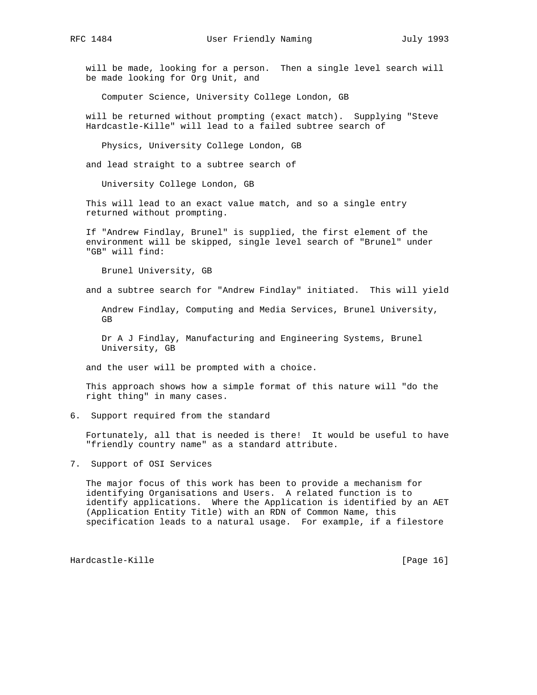will be made, looking for a person. Then a single level search will be made looking for Org Unit, and

Computer Science, University College London, GB

 will be returned without prompting (exact match). Supplying "Steve Hardcastle-Kille" will lead to a failed subtree search of

Physics, University College London, GB

and lead straight to a subtree search of

University College London, GB

 This will lead to an exact value match, and so a single entry returned without prompting.

 If "Andrew Findlay, Brunel" is supplied, the first element of the environment will be skipped, single level search of "Brunel" under "GB" will find:

Brunel University, GB

and a subtree search for "Andrew Findlay" initiated. This will yield

 Andrew Findlay, Computing and Media Services, Brunel University, GB

 Dr A J Findlay, Manufacturing and Engineering Systems, Brunel University, GB

and the user will be prompted with a choice.

 This approach shows how a simple format of this nature will "do the right thing" in many cases.

6. Support required from the standard

 Fortunately, all that is needed is there! It would be useful to have "friendly country name" as a standard attribute.

7. Support of OSI Services

 The major focus of this work has been to provide a mechanism for identifying Organisations and Users. A related function is to identify applications. Where the Application is identified by an AET (Application Entity Title) with an RDN of Common Name, this specification leads to a natural usage. For example, if a filestore

Hardcastle-Kille [Page 16] [Page 16]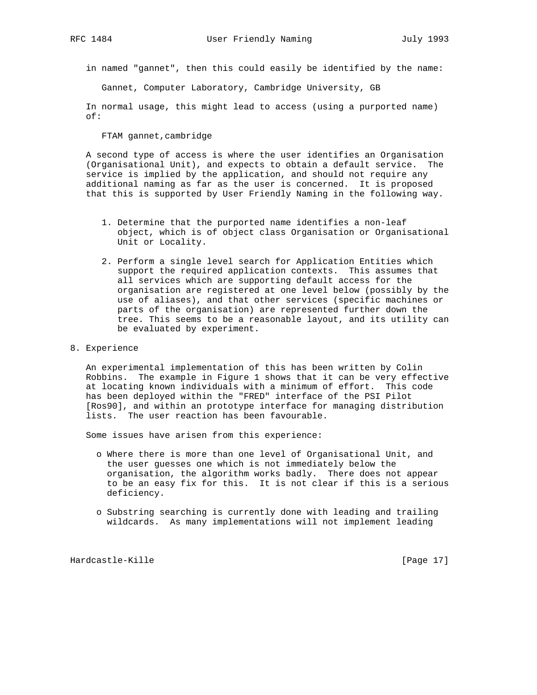in named "gannet", then this could easily be identified by the name:

Gannet, Computer Laboratory, Cambridge University, GB

 In normal usage, this might lead to access (using a purported name) of:

FTAM gannet,cambridge

 A second type of access is where the user identifies an Organisation (Organisational Unit), and expects to obtain a default service. The service is implied by the application, and should not require any additional naming as far as the user is concerned. It is proposed that this is supported by User Friendly Naming in the following way.

- 1. Determine that the purported name identifies a non-leaf object, which is of object class Organisation or Organisational Unit or Locality.
- 2. Perform a single level search for Application Entities which support the required application contexts. This assumes that all services which are supporting default access for the organisation are registered at one level below (possibly by the use of aliases), and that other services (specific machines or parts of the organisation) are represented further down the tree. This seems to be a reasonable layout, and its utility can be evaluated by experiment.
- 8. Experience

 An experimental implementation of this has been written by Colin Robbins. The example in Figure 1 shows that it can be very effective at locating known individuals with a minimum of effort. This code has been deployed within the "FRED" interface of the PSI Pilot [Ros90], and within an prototype interface for managing distribution lists. The user reaction has been favourable.

Some issues have arisen from this experience:

- o Where there is more than one level of Organisational Unit, and the user guesses one which is not immediately below the organisation, the algorithm works badly. There does not appear to be an easy fix for this. It is not clear if this is a serious deficiency.
- o Substring searching is currently done with leading and trailing wildcards. As many implementations will not implement leading

Hardcastle-Kille [Page 17]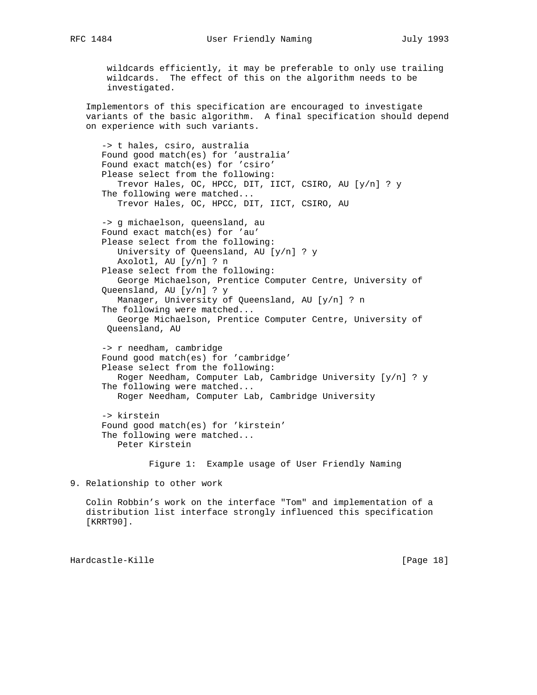wildcards efficiently, it may be preferable to only use trailing wildcards. The effect of this on the algorithm needs to be investigated.

 Implementors of this specification are encouraged to investigate variants of the basic algorithm. A final specification should depend on experience with such variants.

 -> t hales, csiro, australia Found good match(es) for 'australia' Found exact match(es) for 'csiro' Please select from the following: Trevor Hales, OC, HPCC, DIT, IICT, CSIRO, AU [y/n] ? y The following were matched... Trevor Hales, OC, HPCC, DIT, IICT, CSIRO, AU -> g michaelson, queensland, au Found exact match(es) for 'au' Please select from the following: University of Queensland, AU [y/n] ? y Axolotl, AU [y/n] ? n Please select from the following: George Michaelson, Prentice Computer Centre, University of Queensland, AU [y/n] ? y Manager, University of Queensland, AU [y/n] ? n The following were matched... George Michaelson, Prentice Computer Centre, University of Queensland, AU

 -> r needham, cambridge Found good match(es) for 'cambridge' Please select from the following: Roger Needham, Computer Lab, Cambridge University [y/n] ? y The following were matched... Roger Needham, Computer Lab, Cambridge University

 -> kirstein Found good match(es) for 'kirstein' The following were matched... Peter Kirstein

Figure 1: Example usage of User Friendly Naming

9. Relationship to other work

 Colin Robbin's work on the interface "Tom" and implementation of a distribution list interface strongly influenced this specification [KRRT90].

Hardcastle-Kille [Page 18]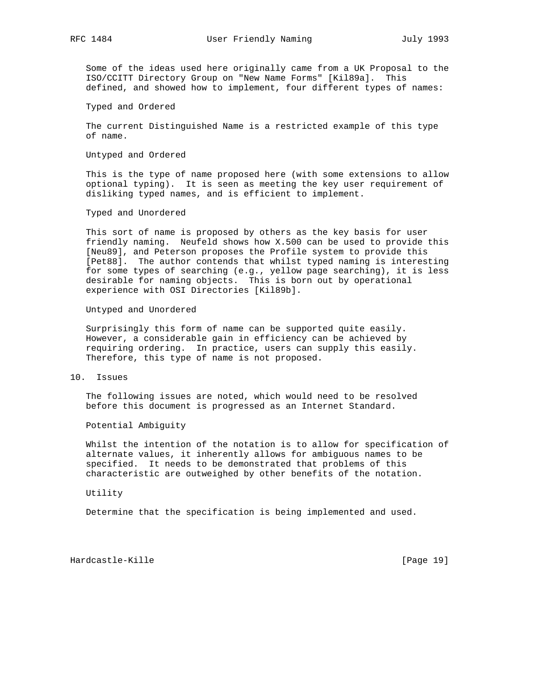Some of the ideas used here originally came from a UK Proposal to the ISO/CCITT Directory Group on "New Name Forms" [Kil89a]. This defined, and showed how to implement, four different types of names:

Typed and Ordered

 The current Distinguished Name is a restricted example of this type of name.

Untyped and Ordered

 This is the type of name proposed here (with some extensions to allow optional typing). It is seen as meeting the key user requirement of disliking typed names, and is efficient to implement.

Typed and Unordered

 This sort of name is proposed by others as the key basis for user friendly naming. Neufeld shows how X.500 can be used to provide this [Neu89], and Peterson proposes the Profile system to provide this [Pet88]. The author contends that whilst typed naming is interesting for some types of searching (e.g., yellow page searching), it is less desirable for naming objects. This is born out by operational experience with OSI Directories [Kil89b].

Untyped and Unordered

 Surprisingly this form of name can be supported quite easily. However, a considerable gain in efficiency can be achieved by requiring ordering. In practice, users can supply this easily. Therefore, this type of name is not proposed.

10. Issues

 The following issues are noted, which would need to be resolved before this document is progressed as an Internet Standard.

Potential Ambiguity

 Whilst the intention of the notation is to allow for specification of alternate values, it inherently allows for ambiguous names to be specified. It needs to be demonstrated that problems of this characteristic are outweighed by other benefits of the notation.

Utility

Determine that the specification is being implemented and used.

Hardcastle-Kille [Page 19]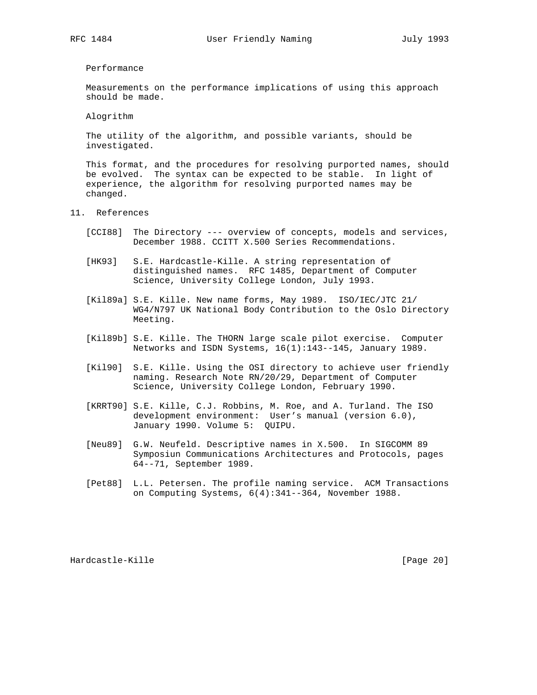### Performance

 Measurements on the performance implications of using this approach should be made.

Alogrithm

 The utility of the algorithm, and possible variants, should be investigated.

 This format, and the procedures for resolving purported names, should be evolved. The syntax can be expected to be stable. In light of experience, the algorithm for resolving purported names may be changed.

- 11. References
	- [CCI88] The Directory --- overview of concepts, models and services, December 1988. CCITT X.500 Series Recommendations.
	- [HK93] S.E. Hardcastle-Kille. A string representation of distinguished names. RFC 1485, Department of Computer Science, University College London, July 1993.
	- [Kil89a] S.E. Kille. New name forms, May 1989. ISO/IEC/JTC 21/ WG4/N797 UK National Body Contribution to the Oslo Directory Meeting.
	- [Kil89b] S.E. Kille. The THORN large scale pilot exercise. Computer Networks and ISDN Systems, 16(1):143--145, January 1989.
	- [Kil90] S.E. Kille. Using the OSI directory to achieve user friendly naming. Research Note RN/20/29, Department of Computer Science, University College London, February 1990.
	- [KRRT90] S.E. Kille, C.J. Robbins, M. Roe, and A. Turland. The ISO development environment: User's manual (version 6.0), January 1990. Volume 5: QUIPU.
	- [Neu89] G.W. Neufeld. Descriptive names in X.500. In SIGCOMM 89 Symposiun Communications Architectures and Protocols, pages 64--71, September 1989.
	- [Pet88] L.L. Petersen. The profile naming service. ACM Transactions on Computing Systems, 6(4):341--364, November 1988.

Hardcastle-Kille [Page 20]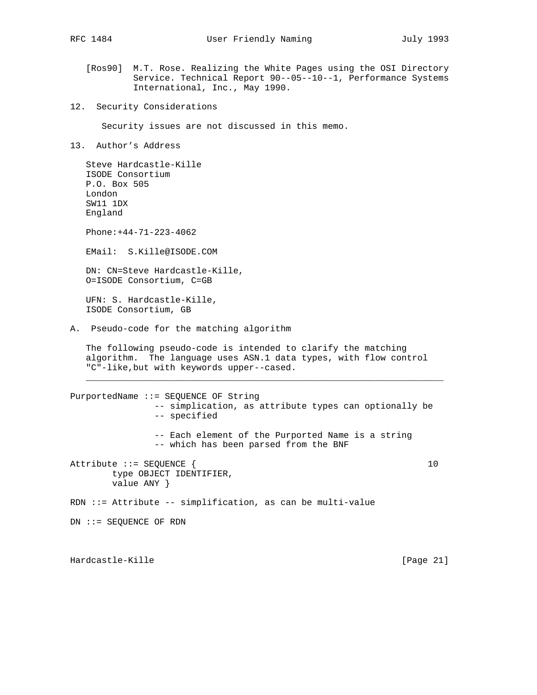- [Ros90] M.T. Rose. Realizing the White Pages using the OSI Directory Service. Technical Report 90--05--10--1, Performance Systems International, Inc., May 1990.
- 12. Security Considerations

Security issues are not discussed in this memo.

13. Author's Address

 Steve Hardcastle-Kille ISODE Consortium P.O. Box 505 London SW11 1DX England Phone:+44-71-223-4062 EMail: S.Kille@ISODE.COM DN: CN=Steve Hardcastle-Kille, O=ISODE Consortium, C=GB UFN: S. Hardcastle-Kille, ISODE Consortium, GB A. Pseudo-code for the matching algorithm The following pseudo-code is intended to clarify the matching algorithm. The language uses ASN.1 data types, with flow control "C"-like,but with keywords upper--cased.  $\mathcal{L} = \frac{1}{2} \sum_{i=1}^{n} \frac{1}{2} \sum_{j=1}^{n} \frac{1}{2} \sum_{j=1}^{n} \frac{1}{2} \sum_{j=1}^{n} \frac{1}{2} \sum_{j=1}^{n} \frac{1}{2} \sum_{j=1}^{n} \frac{1}{2} \sum_{j=1}^{n} \frac{1}{2} \sum_{j=1}^{n} \frac{1}{2} \sum_{j=1}^{n} \frac{1}{2} \sum_{j=1}^{n} \frac{1}{2} \sum_{j=1}^{n} \frac{1}{2} \sum_{j=1}^{n} \frac{1}{2} \sum$ PurportedName ::= SEQUENCE OF String -- simplication, as attribute types can optionally be -- specified -- Each element of the Purported Name is a string -- which has been parsed from the BNF Attribute ::= SEQUENCE { 10 type OBJECT IDENTIFIER, value ANY } RDN ::= Attribute -- simplification, as can be multi-value DN ::= SEQUENCE OF RDN

Hardcastle-Kille [Page 21]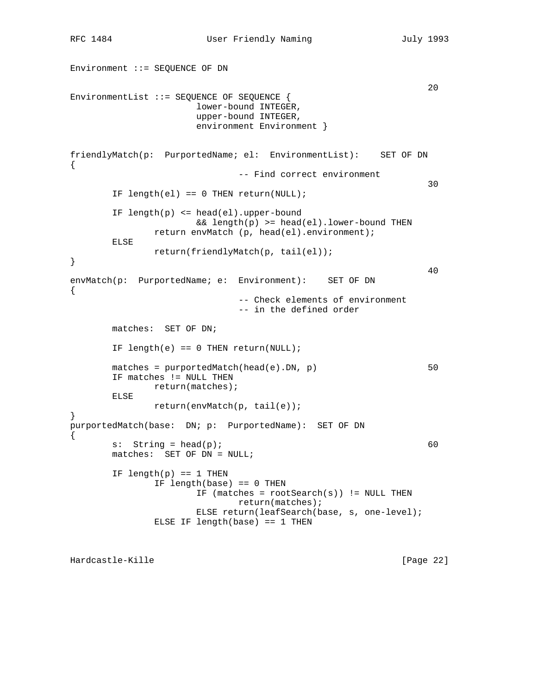Environment ::= SEQUENCE OF DN  $20$ EnvironmentList ::= SEQUENCE OF SEQUENCE { lower-bound INTEGER, upper-bound INTEGER, environment Environment } friendlyMatch(p: PurportedName; el: EnvironmentList): SET OF DN { -- Find correct environment <u>30</u> IF length(el) ==  $0$  THEN return(NULL); IF length(p) <= head(el).upper-bound && length(p) >= head(el).lower-bound THEN return envMatch (p, head(el).environment); ELSE return(friendlyMatch(p, tail(el)); } 40 envMatch(p: PurportedName; e: Environment): SET OF DN { -- Check elements of environment -- in the defined order matches: SET OF DN; IF length(e) ==  $0$  THEN return(NULL); matches = purportedMatch(head(e).DN, p) 50 IF matches != NULL THEN return(matches); ELSE return(envMatch(p, tail(e)); } purportedMatch(base: DN; p: PurportedName): SET OF DN {  $s:$  String = head(p); 60 matches: SET OF DN = NULL; IF length $(p)$  == 1 THEN IF length(base) == 0 THEN IF (matches =  $rootSearch(s)$ ) != NULL THEN return(matches); ELSE return(leafSearch(base, s, one-level); ELSE IF length(base) == 1 THEN

Hardcastle-Kille [Page 22]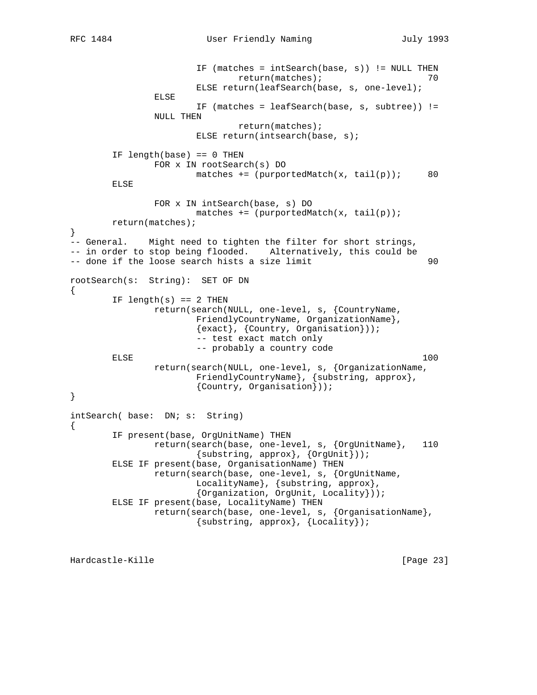```
 IF (matches = intSearch(base, s)) != NULL THEN
                              return(matches); 70
                       ELSE return(leafSearch(base, s, one-level);
                ELSE
                       IF (matches = leafSearch(base, s, subtree)) !=
                NULL THEN
                               return(matches);
                       ELSE return(intsearch(base, s);
        IF length(base) == 0 THEN
                FOR x IN rootSearch(s) DO
                      matches += (purportedMatch(x, tail(p)); 80
        ELSE
                FOR x IN intSearch(base, s) DO
                      matches += (purportedMatch(x, tail(p));
        return(matches);
}
-- General. Might need to tighten the filter for short strings,
-- in order to stop being flooded. Alternatively, this could be
-- done if the loose search hists a size limit 90rootSearch(s: String): SET OF DN
{
       IF length(s) == 2 THEN
                return(search(NULL, one-level, s, {CountryName,
                       FriendlyCountryName, OrganizationName},
                       {exact}, {Country, Organisation}));
                       -- test exact match only
        -- probably a country code
ELSE 100
                return(search(NULL, one-level, s, {OrganizationName,
                       FriendlyCountryName}, {substring, approx},
                       {Country, Organisation}));
}
intSearch( base: DN; s: String)
{
        IF present(base, OrgUnitName) THEN
                return(search(base, one-level, s, {OrgUnitName}, 110
                      \{substring, approx\}, \{OrgUnit\});
        ELSE IF present(base, OrganisationName) THEN
                return(search(base, one-level, s, {OrgUnitName,
                       LocalityName}, {substring, approx},
                       {Organization, OrgUnit, Locality}));
        ELSE IF present(base, LocalityName) THEN
                return(search(base, one-level, s, {OrganisationName},
                        {substring, approx}, {Locality});
```
Hardcastle-Kille [Page 23]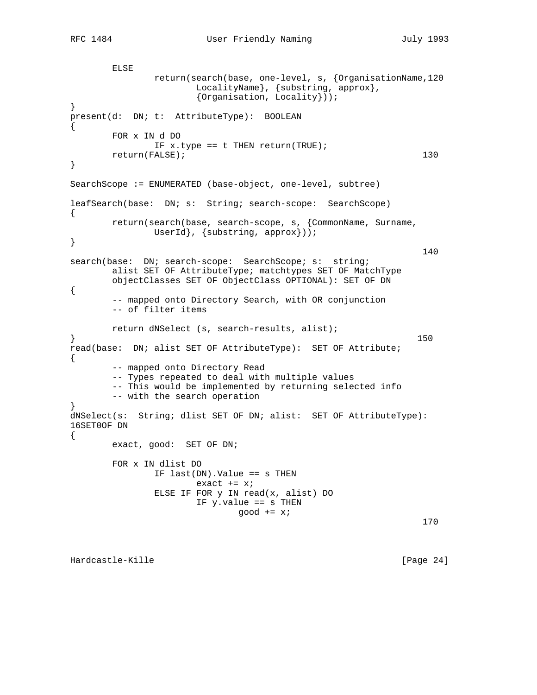```
 ELSE
              return(search(base, one-level, s, {OrganisationName,120
LocalityName}, {substring, approx},
 {Organisation, Locality}));
}
present(d: DN; t: AttributeType): BOOLEAN
{
       FOR x IN d DO
             IF x. type == t THEN return(TRUE);
      return(FALSE); 130
}
SearchScope := ENUMERATED (base-object, one-level, subtree)
leafSearch(base: DN; s: String; search-scope: SearchScope)
{
       return(search(base, search-scope, s, {CommonName, Surname,
             UserId}, {substring, approx}));
}
 140
search(base: DN; search-scope: SearchScope; s: string;
       alist SET OF AttributeType; matchtypes SET OF MatchType
       objectClasses SET OF ObjectClass OPTIONAL): SET OF DN
{
       -- mapped onto Directory Search, with OR conjunction
       -- of filter items
       return dNSelect (s, search-results, alist);
\} 150
read(base: DN; alist SET OF AttributeType): SET OF Attribute;
{
       -- mapped onto Directory Read
       -- Types repeated to deal with multiple values
       -- This would be implemented by returning selected info
       -- with the search operation
}
dNSelect(s: String; dlist SET OF DN; alist: SET OF AttributeType):
16SET0OF DN
{
       exact, good: SET OF DN;
       FOR x IN dlist DO
             IF last(DN).Value == s THEN
                   exact += x; ELSE IF FOR y IN read(x, alist) DO
                    IF y.value == s THEN
                          good += x; 170
```
Hardcastle-Kille [Page 24]